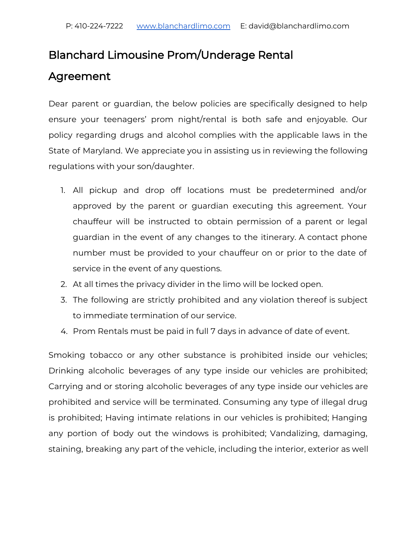## Blanchard Limousine Prom/Underage Rental

## Agreement

Dear parent or guardian, the below policies are specifically designed to help ensure your teenagers' prom night/rental is both safe and enjoyable. Our policy regarding drugs and alcohol complies with the applicable laws in the State of Maryland. We appreciate you in assisting us in reviewing the following regulations with your son/daughter.

- 1. All pickup and drop off locations must be predetermined and/or approved by the parent or guardian executing this agreement. Your chauffeur will be instructed to obtain permission of a parent or legal guardian in the event of any changes to the itinerary. A contact phone number must be provided to your chauffeur on or prior to the date of service in the event of any questions.
- 2. At all times the privacy divider in the limo will be locked open.
- 3. The following are strictly prohibited and any violation thereof is subject to immediate termination of our service.
- 4. Prom Rentals must be paid in full 7 days in advance of date of event.

Smoking tobacco or any other substance is prohibited inside our vehicles; Drinking alcoholic beverages of any type inside our vehicles are prohibited; Carrying and or storing alcoholic beverages of any type inside our vehicles are prohibited and service will be terminated. Consuming any type of illegal drug is prohibited; Having intimate relations in our vehicles is prohibited; Hanging any portion of body out the windows is prohibited; Vandalizing, damaging, staining, breaking any part of the vehicle, including the interior, exterior as well